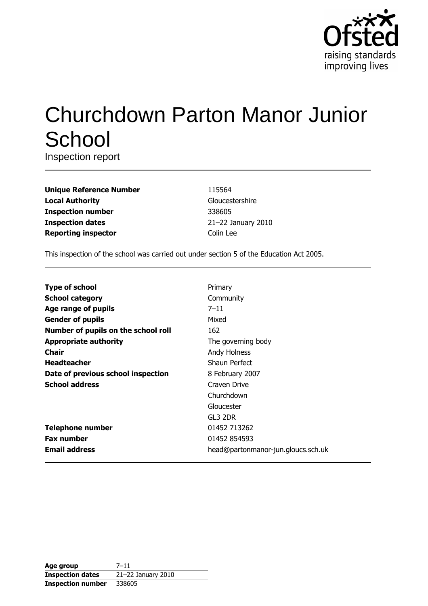

# **Churchdown Parton Manor Junior** School

Inspection report

| <b>Unique Reference Number</b> |
|--------------------------------|
| <b>Local Authority</b>         |
| <b>Inspection number</b>       |
| <b>Inspection dates</b>        |
| <b>Reporting inspector</b>     |

115564 Gloucestershire 338605 21-22 January 2010 Colin Lee

This inspection of the school was carried out under section 5 of the Education Act 2005.

| <b>Type of school</b>               | Primary                            |
|-------------------------------------|------------------------------------|
| <b>School category</b>              | Community                          |
| Age range of pupils                 | $7 - 11$                           |
| <b>Gender of pupils</b>             | Mixed                              |
| Number of pupils on the school roll | 162                                |
| <b>Appropriate authority</b>        | The governing body                 |
| <b>Chair</b>                        | Andy Holness                       |
| <b>Headteacher</b>                  | Shaun Perfect                      |
| Date of previous school inspection  | 8 February 2007                    |
| <b>School address</b>               | Craven Drive                       |
|                                     | Churchdown                         |
|                                     | Gloucester                         |
|                                     | GL3 2DR                            |
| <b>Telephone number</b>             | 01452 713262                       |
| <b>Fax number</b>                   | 01452 854593                       |
| <b>Email address</b>                | head@partonmanor-jun.gloucs.sch.uk |

| Age group                | $7 - 11$           |
|--------------------------|--------------------|
| <b>Inspection dates</b>  | 21-22 January 2010 |
| <b>Inspection number</b> | 338605             |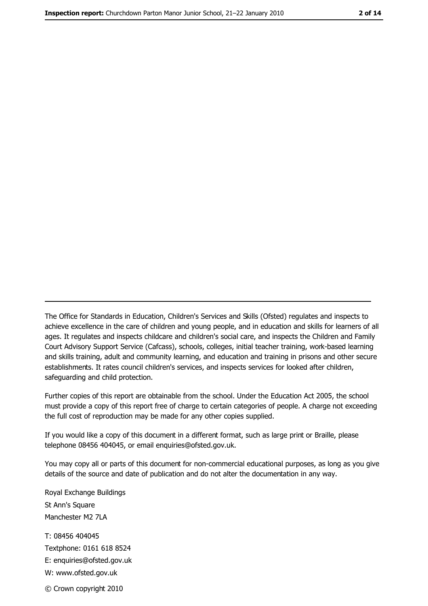The Office for Standards in Education, Children's Services and Skills (Ofsted) regulates and inspects to achieve excellence in the care of children and young people, and in education and skills for learners of all ages. It regulates and inspects childcare and children's social care, and inspects the Children and Family Court Advisory Support Service (Cafcass), schools, colleges, initial teacher training, work-based learning and skills training, adult and community learning, and education and training in prisons and other secure establishments. It rates council children's services, and inspects services for looked after children, safequarding and child protection.

Further copies of this report are obtainable from the school. Under the Education Act 2005, the school must provide a copy of this report free of charge to certain categories of people. A charge not exceeding the full cost of reproduction may be made for any other copies supplied.

If you would like a copy of this document in a different format, such as large print or Braille, please telephone 08456 404045, or email enquiries@ofsted.gov.uk.

You may copy all or parts of this document for non-commercial educational purposes, as long as you give details of the source and date of publication and do not alter the documentation in any way.

Royal Exchange Buildings St Ann's Square Manchester M2 7LA T: 08456 404045 Textphone: 0161 618 8524 E: enquiries@ofsted.gov.uk W: www.ofsted.gov.uk © Crown copyright 2010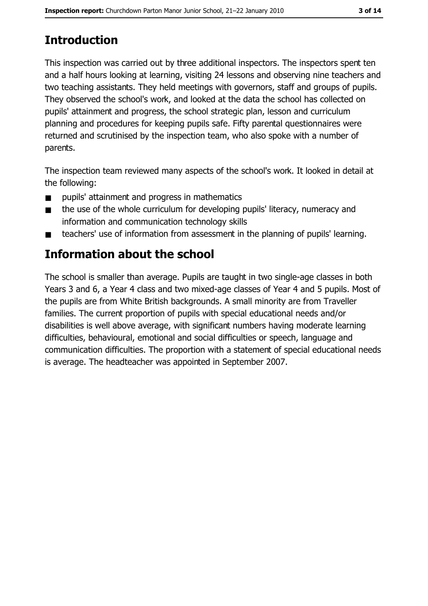# **Introduction**

This inspection was carried out by three additional inspectors. The inspectors spent ten and a half hours looking at learning, visiting 24 lessons and observing nine teachers and two teaching assistants. They held meetings with governors, staff and groups of pupils. They observed the school's work, and looked at the data the school has collected on pupils' attainment and progress, the school strategic plan, lesson and curriculum planning and procedures for keeping pupils safe. Fifty parental questionnaires were returned and scrutinised by the inspection team, who also spoke with a number of parents.

The inspection team reviewed many aspects of the school's work. It looked in detail at the following:

- pupils' attainment and progress in mathematics  $\blacksquare$
- the use of the whole curriculum for developing pupils' literacy, numeracy and  $\blacksquare$ information and communication technology skills
- teachers' use of information from assessment in the planning of pupils' learning.  $\blacksquare$

# **Information about the school**

The school is smaller than average. Pupils are taught in two single-age classes in both Years 3 and 6, a Year 4 class and two mixed-age classes of Year 4 and 5 pupils. Most of the pupils are from White British backgrounds. A small minority are from Traveller families. The current proportion of pupils with special educational needs and/or disabilities is well above average, with significant numbers having moderate learning difficulties, behavioural, emotional and social difficulties or speech, language and communication difficulties. The proportion with a statement of special educational needs is average. The headteacher was appointed in September 2007.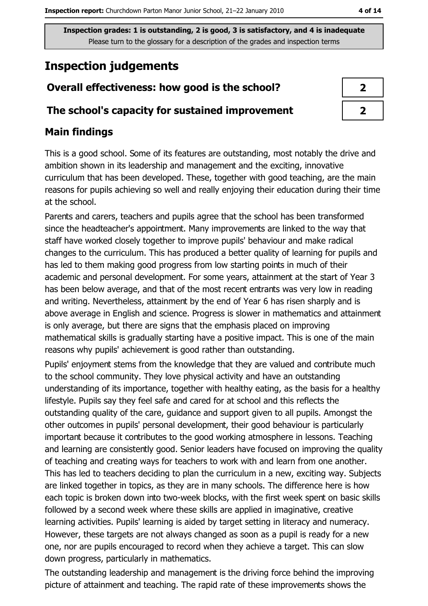# **Inspection judgements**

## Overall effectiveness: how good is the school?

#### The school's capacity for sustained improvement

## **Main findings**

This is a good school. Some of its features are outstanding, most notably the drive and ambition shown in its leadership and management and the exciting, innovative curriculum that has been developed. These, together with good teaching, are the main reasons for pupils achieving so well and really enjoying their education during their time at the school.

Parents and carers, teachers and pupils agree that the school has been transformed since the headteacher's appointment. Many improvements are linked to the way that staff have worked closely together to improve pupils' behaviour and make radical changes to the curriculum. This has produced a better quality of learning for pupils and has led to them making good progress from low starting points in much of their academic and personal development. For some years, attainment at the start of Year 3 has been below average, and that of the most recent entrants was very low in reading and writing. Nevertheless, attainment by the end of Year 6 has risen sharply and is above average in English and science. Progress is slower in mathematics and attainment is only average, but there are signs that the emphasis placed on improving mathematical skills is gradually starting have a positive impact. This is one of the main reasons why pupils' achievement is good rather than outstanding.

Pupils' enjoyment stems from the knowledge that they are valued and contribute much to the school community. They love physical activity and have an outstanding understanding of its importance, together with healthy eating, as the basis for a healthy lifestyle. Pupils say they feel safe and cared for at school and this reflects the outstanding quality of the care, guidance and support given to all pupils. Amongst the other outcomes in pupils' personal development, their good behaviour is particularly important because it contributes to the good working atmosphere in lessons. Teaching and learning are consistently good. Senior leaders have focused on improving the quality of teaching and creating ways for teachers to work with and learn from one another. This has led to teachers deciding to plan the curriculum in a new, exciting way. Subjects are linked together in topics, as they are in many schools. The difference here is how each topic is broken down into two-week blocks, with the first week spent on basic skills followed by a second week where these skills are applied in imaginative, creative learning activities. Pupils' learning is aided by target setting in literacy and numeracy. However, these targets are not always changed as soon as a pupil is ready for a new one, nor are pupils encouraged to record when they achieve a target. This can slow down progress, particularly in mathematics.

The outstanding leadership and management is the driving force behind the improving picture of attainment and teaching. The rapid rate of these improvements shows the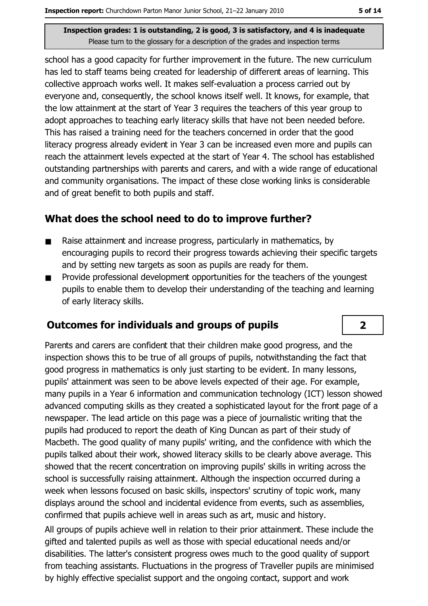school has a good capacity for further improvement in the future. The new curriculum has led to staff teams being created for leadership of different areas of learning. This collective approach works well. It makes self-evaluation a process carried out by everyone and, consequently, the school knows itself well. It knows, for example, that the low attainment at the start of Year 3 requires the teachers of this year group to adopt approaches to teaching early literacy skills that have not been needed before. This has raised a training need for the teachers concerned in order that the good literacy progress already evident in Year 3 can be increased even more and pupils can reach the attainment levels expected at the start of Year 4. The school has established outstanding partnerships with parents and carers, and with a wide range of educational and community organisations. The impact of these close working links is considerable and of great benefit to both pupils and staff.

## What does the school need to do to improve further?

- Raise attainment and increase progress, particularly in mathematics, by  $\blacksquare$ encouraging pupils to record their progress towards achieving their specific targets and by setting new targets as soon as pupils are ready for them.
- Provide professional development opportunities for the teachers of the youngest  $\blacksquare$ pupils to enable them to develop their understanding of the teaching and learning of early literacy skills.

#### **Outcomes for individuals and groups of pupils**

Parents and carers are confident that their children make good progress, and the inspection shows this to be true of all groups of pupils, notwithstanding the fact that good progress in mathematics is only just starting to be evident. In many lessons, pupils' attainment was seen to be above levels expected of their age. For example, many pupils in a Year 6 information and communication technology (ICT) lesson showed advanced computing skills as they created a sophisticated layout for the front page of a newspaper. The lead article on this page was a piece of journalistic writing that the pupils had produced to report the death of King Duncan as part of their study of Macbeth. The good quality of many pupils' writing, and the confidence with which the pupils talked about their work, showed literacy skills to be clearly above average. This showed that the recent concentration on improving pupils' skills in writing across the school is successfully raising attainment. Although the inspection occurred during a week when lessons focused on basic skills, inspectors' scrutiny of topic work, many displays around the school and incidental evidence from events, such as assemblies, confirmed that pupils achieve well in areas such as art, music and history.

All groups of pupils achieve well in relation to their prior attainment. These include the gifted and talented pupils as well as those with special educational needs and/or disabilities. The latter's consistent progress owes much to the good quality of support from teaching assistants. Fluctuations in the progress of Traveller pupils are minimised by highly effective specialist support and the ongoing contact, support and work

 $\overline{2}$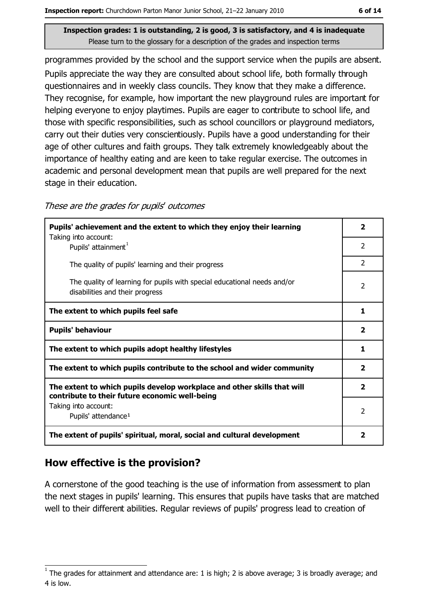programmes provided by the school and the support service when the pupils are absent. Pupils appreciate the way they are consulted about school life, both formally through questionnaires and in weekly class councils. They know that they make a difference. They recognise, for example, how important the new playground rules are important for helping everyone to enjoy playtimes. Pupils are eager to contribute to school life, and those with specific responsibilities, such as school councillors or playground mediators, carry out their duties very conscientiously. Pupils have a good understanding for their age of other cultures and faith groups. They talk extremely knowledgeably about the importance of healthy eating and are keen to take regular exercise. The outcomes in academic and personal development mean that pupils are well prepared for the next stage in their education.

| These are the grades for pupils' outcomes |  |  |  |
|-------------------------------------------|--|--|--|
|-------------------------------------------|--|--|--|

| Pupils' achievement and the extent to which they enjoy their learning<br>Taking into account:                             | 2              |
|---------------------------------------------------------------------------------------------------------------------------|----------------|
| Pupils' attainment <sup>1</sup>                                                                                           | $\overline{2}$ |
| The quality of pupils' learning and their progress                                                                        | $\mathcal{P}$  |
| The quality of learning for pupils with special educational needs and/or<br>disabilities and their progress               | $\overline{2}$ |
| The extent to which pupils feel safe                                                                                      | 1              |
| <b>Pupils' behaviour</b>                                                                                                  | $\mathbf{z}$   |
| The extent to which pupils adopt healthy lifestyles                                                                       | 1              |
| The extent to which pupils contribute to the school and wider community                                                   | $\overline{2}$ |
| The extent to which pupils develop workplace and other skills that will<br>contribute to their future economic well-being | $\mathbf{z}$   |
| Taking into account:<br>Pupils' attendance <sup>1</sup>                                                                   | 2              |
| The extent of pupils' spiritual, moral, social and cultural development                                                   | $\mathbf{2}$   |

## How effective is the provision?

A cornerstone of the good teaching is the use of information from assessment to plan the next stages in pupils' learning. This ensures that pupils have tasks that are matched well to their different abilities. Regular reviews of pupils' progress lead to creation of

The grades for attainment and attendance are: 1 is high; 2 is above average; 3 is broadly average; and 4 is low.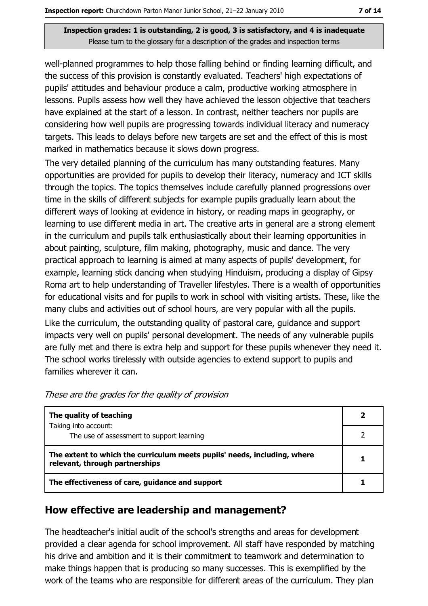well-planned programmes to help those falling behind or finding learning difficult, and the success of this provision is constantly evaluated. Teachers' high expectations of pupils' attitudes and behaviour produce a calm, productive working atmosphere in lessons. Pupils assess how well they have achieved the lesson objective that teachers have explained at the start of a lesson. In contrast, neither teachers nor pupils are considering how well pupils are progressing towards individual literacy and numeracy targets. This leads to delays before new targets are set and the effect of this is most marked in mathematics because it slows down progress.

The very detailed planning of the curriculum has many outstanding features. Many opportunities are provided for pupils to develop their literacy, numeracy and ICT skills through the topics. The topics themselves include carefully planned progressions over time in the skills of different subjects for example pupils gradually learn about the different ways of looking at evidence in history, or reading maps in geography, or learning to use different media in art. The creative arts in general are a strong element in the curriculum and pupils talk enthusiastically about their learning opportunities in about painting, sculpture, film making, photography, music and dance. The very practical approach to learning is aimed at many aspects of pupils' development, for example, learning stick dancing when studying Hinduism, producing a display of Gipsy Roma art to help understanding of Traveller lifestyles. There is a wealth of opportunities for educational visits and for pupils to work in school with visiting artists. These, like the many clubs and activities out of school hours, are very popular with all the pupils.

Like the curriculum, the outstanding quality of pastoral care, quidance and support impacts very well on pupils' personal development. The needs of any vulnerable pupils are fully met and there is extra help and support for these pupils whenever they need it. The school works tirelessly with outside agencies to extend support to pupils and families wherever it can.

| The quality of teaching                                                                                    |  |
|------------------------------------------------------------------------------------------------------------|--|
| Taking into account:<br>The use of assessment to support learning                                          |  |
| The extent to which the curriculum meets pupils' needs, including, where<br>relevant, through partnerships |  |
| The effectiveness of care, guidance and support                                                            |  |

These are the grades for the quality of provision

#### How effective are leadership and management?

The headteacher's initial audit of the school's strengths and areas for development provided a clear agenda for school improvement. All staff have responded by matching his drive and ambition and it is their commitment to teamwork and determination to make things happen that is producing so many successes. This is exemplified by the work of the teams who are responsible for different areas of the curriculum. They plan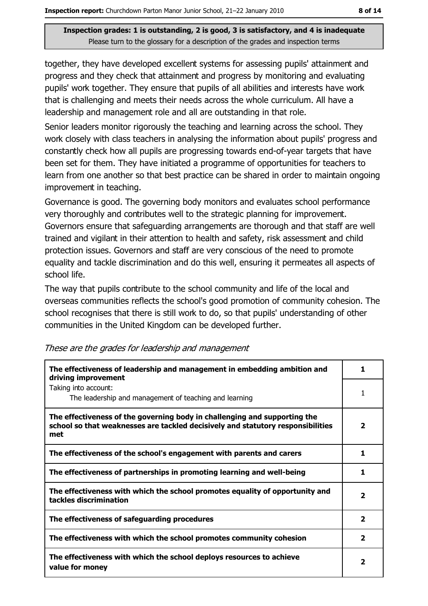together, they have developed excellent systems for assessing pupils' attainment and progress and they check that attainment and progress by monitoring and evaluating pupils' work together. They ensure that pupils of all abilities and interests have work that is challenging and meets their needs across the whole curriculum. All have a leadership and management role and all are outstanding in that role.

Senior leaders monitor rigorously the teaching and learning across the school. They work closely with class teachers in analysing the information about pupils' progress and constantly check how all pupils are progressing towards end-of-year targets that have been set for them. They have initiated a programme of opportunities for teachers to learn from one another so that best practice can be shared in order to maintain ongoing improvement in teaching.

Governance is good. The governing body monitors and evaluates school performance very thoroughly and contributes well to the strategic planning for improvement. Governors ensure that safeguarding arrangements are thorough and that staff are well trained and vigilant in their attention to health and safety, risk assessment and child protection issues. Governors and staff are very conscious of the need to promote equality and tackle discrimination and do this well, ensuring it permeates all aspects of school life.

The way that pupils contribute to the school community and life of the local and overseas communities reflects the school's good promotion of community cohesion. The school recognises that there is still work to do, so that pupils' understanding of other communities in the United Kingdom can be developed further.

| The effectiveness of leadership and management in embedding ambition and<br>driving improvement                                                                     | ı                       |
|---------------------------------------------------------------------------------------------------------------------------------------------------------------------|-------------------------|
| Taking into account:<br>The leadership and management of teaching and learning                                                                                      | 1                       |
| The effectiveness of the governing body in challenging and supporting the<br>school so that weaknesses are tackled decisively and statutory responsibilities<br>met | 2                       |
| The effectiveness of the school's engagement with parents and carers                                                                                                | 1                       |
| The effectiveness of partnerships in promoting learning and well-being                                                                                              | 1                       |
| The effectiveness with which the school promotes equality of opportunity and<br>tackles discrimination                                                              | $\overline{\mathbf{2}}$ |
| The effectiveness of safeguarding procedures                                                                                                                        | $\overline{\mathbf{2}}$ |
| The effectiveness with which the school promotes community cohesion                                                                                                 | $\overline{\mathbf{2}}$ |
| The effectiveness with which the school deploys resources to achieve<br>value for money                                                                             | 2                       |

These are the grades for leadership and management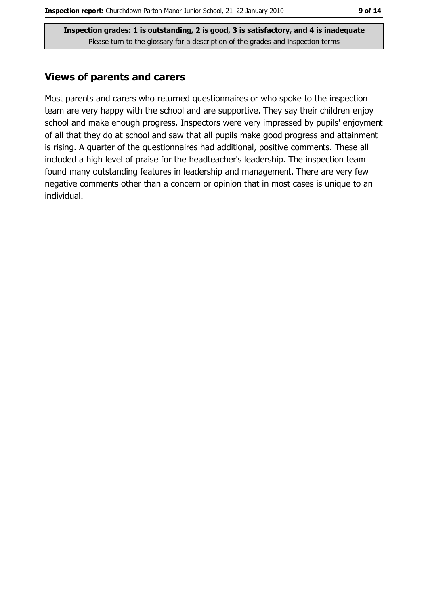#### **Views of parents and carers**

Most parents and carers who returned questionnaires or who spoke to the inspection team are very happy with the school and are supportive. They say their children enjoy school and make enough progress. Inspectors were very impressed by pupils' enjoyment of all that they do at school and saw that all pupils make good progress and attainment is rising. A quarter of the questionnaires had additional, positive comments. These all included a high level of praise for the headteacher's leadership. The inspection team found many outstanding features in leadership and management. There are very few negative comments other than a concern or opinion that in most cases is unique to an individual.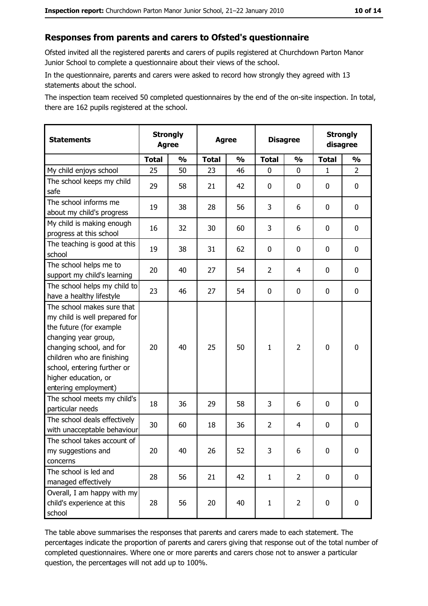#### Responses from parents and carers to Ofsted's questionnaire

Ofsted invited all the registered parents and carers of pupils registered at Churchdown Parton Manor Junior School to complete a questionnaire about their views of the school.

In the questionnaire, parents and carers were asked to record how strongly they agreed with 13 statements about the school.

The inspection team received 50 completed questionnaires by the end of the on-site inspection. In total, there are 162 pupils registered at the school.

| <b>Statements</b>                                                                                                                                                                                                                                       | <b>Strongly</b><br><b>Agree</b> |               | <b>Agree</b> |               | <b>Disagree</b> |                | <b>Strongly</b><br>disagree |                |
|---------------------------------------------------------------------------------------------------------------------------------------------------------------------------------------------------------------------------------------------------------|---------------------------------|---------------|--------------|---------------|-----------------|----------------|-----------------------------|----------------|
|                                                                                                                                                                                                                                                         | <b>Total</b>                    | $\frac{1}{2}$ | <b>Total</b> | $\frac{0}{0}$ | <b>Total</b>    | $\frac{0}{0}$  | <b>Total</b>                | $\frac{1}{2}$  |
| My child enjoys school                                                                                                                                                                                                                                  | 25                              | 50            | 23           | 46            | $\mathbf 0$     | 0              | $\mathbf{1}$                | $\overline{2}$ |
| The school keeps my child<br>safe                                                                                                                                                                                                                       | 29                              | 58            | 21           | 42            | $\mathbf 0$     | 0              | 0                           | $\mathbf 0$    |
| The school informs me<br>about my child's progress                                                                                                                                                                                                      | 19                              | 38            | 28           | 56            | 3               | 6              | 0                           | 0              |
| My child is making enough<br>progress at this school                                                                                                                                                                                                    | 16                              | 32            | 30           | 60            | 3               | 6              | 0                           | 0              |
| The teaching is good at this<br>school                                                                                                                                                                                                                  | 19                              | 38            | 31           | 62            | 0               | 0              | 0                           | 0              |
| The school helps me to<br>support my child's learning                                                                                                                                                                                                   | 20                              | 40            | 27           | 54            | $\overline{2}$  | 4              | 0                           | $\mathbf 0$    |
| The school helps my child to<br>have a healthy lifestyle                                                                                                                                                                                                | 23                              | 46            | 27           | 54            | $\mathbf 0$     | 0              | 0                           | $\mathbf 0$    |
| The school makes sure that<br>my child is well prepared for<br>the future (for example<br>changing year group,<br>changing school, and for<br>children who are finishing<br>school, entering further or<br>higher education, or<br>entering employment) | 20                              | 40            | 25           | 50            | $\mathbf{1}$    | $\overline{2}$ | $\mathbf 0$                 | $\mathbf 0$    |
| The school meets my child's<br>particular needs                                                                                                                                                                                                         | 18                              | 36            | 29           | 58            | 3               | 6              | $\Omega$                    | $\mathbf 0$    |
| The school deals effectively<br>with unacceptable behaviour                                                                                                                                                                                             | 30                              | 60            | 18           | 36            | $\overline{2}$  | 4              | 0                           | $\mathbf 0$    |
| The school takes account of<br>my suggestions and<br>concerns                                                                                                                                                                                           | 20                              | 40            | 26           | 52            | 3               | 6              | 0                           | 0              |
| The school is led and<br>managed effectively                                                                                                                                                                                                            | 28                              | 56            | 21           | 42            | $\mathbf{1}$    | $\overline{2}$ | $\mathbf 0$                 | 0              |
| Overall, I am happy with my<br>child's experience at this<br>school                                                                                                                                                                                     | 28                              | 56            | 20           | 40            | $\mathbf{1}$    | $\overline{2}$ | 0                           | 0              |

The table above summarises the responses that parents and carers made to each statement. The percentages indicate the proportion of parents and carers giving that response out of the total number of completed questionnaires. Where one or more parents and carers chose not to answer a particular question, the percentages will not add up to 100%.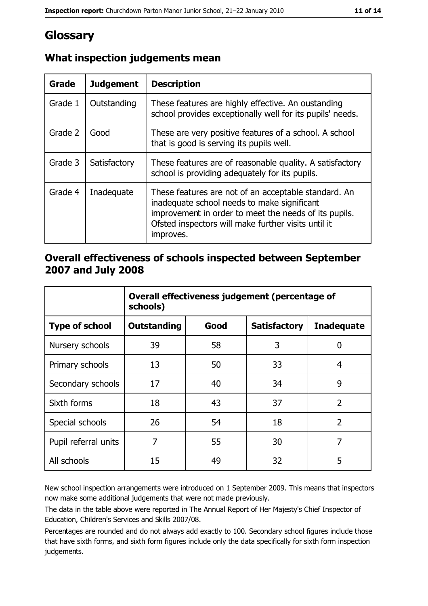# Glossary

| <b>Grade</b> | <b>Judgement</b> | <b>Description</b>                                                                                                                                                                                                               |
|--------------|------------------|----------------------------------------------------------------------------------------------------------------------------------------------------------------------------------------------------------------------------------|
| Grade 1      | Outstanding      | These features are highly effective. An oustanding<br>school provides exceptionally well for its pupils' needs.                                                                                                                  |
| Grade 2      | Good             | These are very positive features of a school. A school<br>that is good is serving its pupils well.                                                                                                                               |
| Grade 3      | Satisfactory     | These features are of reasonable quality. A satisfactory<br>school is providing adequately for its pupils.                                                                                                                       |
| Grade 4      | Inadequate       | These features are not of an acceptable standard. An<br>inadequate school needs to make significant<br>improvement in order to meet the needs of its pupils.<br>Ofsted inspectors will make further visits until it<br>improves. |

## What inspection judgements mean

## Overall effectiveness of schools inspected between September 2007 and July 2008

|                       | Overall effectiveness judgement (percentage of<br>schools) |      |                     |                   |
|-----------------------|------------------------------------------------------------|------|---------------------|-------------------|
| <b>Type of school</b> | <b>Outstanding</b>                                         | Good | <b>Satisfactory</b> | <b>Inadequate</b> |
| Nursery schools       | 39                                                         | 58   | 3                   | 0                 |
| Primary schools       | 13                                                         | 50   | 33                  | 4                 |
| Secondary schools     | 17                                                         | 40   | 34                  | 9                 |
| Sixth forms           | 18                                                         | 43   | 37                  | $\overline{2}$    |
| Special schools       | 26                                                         | 54   | 18                  | $\overline{2}$    |
| Pupil referral units  | 7                                                          | 55   | 30                  | 7                 |
| All schools           | 15                                                         | 49   | 32                  | 5                 |

New school inspection arrangements were introduced on 1 September 2009. This means that inspectors now make some additional judgements that were not made previously.

The data in the table above were reported in The Annual Report of Her Majesty's Chief Inspector of Education, Children's Services and Skills 2007/08.

Percentages are rounded and do not always add exactly to 100. Secondary school figures include those that have sixth forms, and sixth form figures include only the data specifically for sixth form inspection judgements.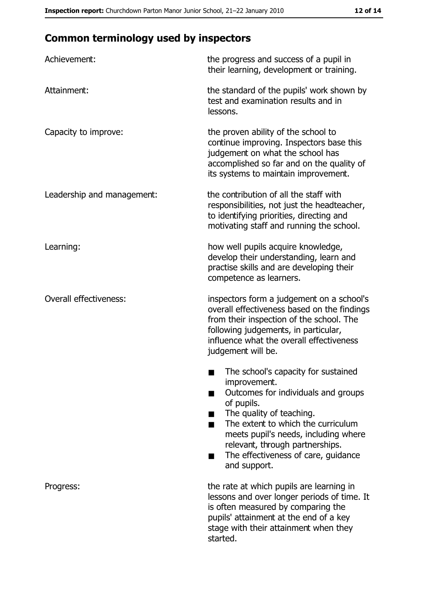# **Common terminology used by inspectors**

| Achievement:                  | the progress and success of a pupil in<br>their learning, development or training.                                                                                                                                                                                                                           |
|-------------------------------|--------------------------------------------------------------------------------------------------------------------------------------------------------------------------------------------------------------------------------------------------------------------------------------------------------------|
| Attainment:                   | the standard of the pupils' work shown by<br>test and examination results and in<br>lessons.                                                                                                                                                                                                                 |
| Capacity to improve:          | the proven ability of the school to<br>continue improving. Inspectors base this<br>judgement on what the school has<br>accomplished so far and on the quality of<br>its systems to maintain improvement.                                                                                                     |
| Leadership and management:    | the contribution of all the staff with<br>responsibilities, not just the headteacher,<br>to identifying priorities, directing and<br>motivating staff and running the school.                                                                                                                                |
| Learning:                     | how well pupils acquire knowledge,<br>develop their understanding, learn and<br>practise skills and are developing their<br>competence as learners.                                                                                                                                                          |
| <b>Overall effectiveness:</b> | inspectors form a judgement on a school's<br>overall effectiveness based on the findings<br>from their inspection of the school. The<br>following judgements, in particular,<br>influence what the overall effectiveness<br>judgement will be.                                                               |
|                               | The school's capacity for sustained<br>improvement.<br>Outcomes for individuals and groups<br>of pupils.<br>The quality of teaching.<br>The extent to which the curriculum<br>meets pupil's needs, including where<br>relevant, through partnerships.<br>The effectiveness of care, guidance<br>and support. |
| Progress:                     | the rate at which pupils are learning in<br>lessons and over longer periods of time. It<br>is often measured by comparing the<br>pupils' attainment at the end of a key<br>stage with their attainment when they<br>started.                                                                                 |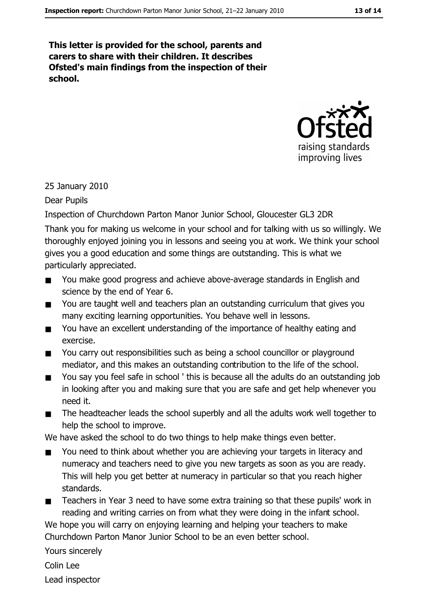This letter is provided for the school, parents and carers to share with their children. It describes Ofsted's main findings from the inspection of their school.



#### 25 January 2010

#### Dear Pupils

Inspection of Churchdown Parton Manor Junior School, Gloucester GL3 2DR

Thank you for making us welcome in your school and for talking with us so willingly. We thoroughly enjoyed joining you in lessons and seeing you at work. We think your school gives you a good education and some things are outstanding. This is what we particularly appreciated.

- You make good progress and achieve above-average standards in English and  $\blacksquare$ science by the end of Year 6.
- You are taught well and teachers plan an outstanding curriculum that gives you  $\blacksquare$ many exciting learning opportunities. You behave well in lessons.
- You have an excellent understanding of the importance of healthy eating and  $\blacksquare$ exercise.
- You carry out responsibilities such as being a school councillor or playground  $\blacksquare$ mediator, and this makes an outstanding contribution to the life of the school.
- You say you feel safe in school ' this is because all the adults do an outstanding job  $\blacksquare$ in looking after you and making sure that you are safe and get help whenever you need it.
- $\blacksquare$ The headteacher leads the school superbly and all the adults work well together to help the school to improve.

We have asked the school to do two things to help make things even better.

- $\blacksquare$ You need to think about whether you are achieving your targets in literacy and numeracy and teachers need to give you new targets as soon as you are ready. This will help you get better at numeracy in particular so that you reach higher standards.
- Teachers in Year 3 need to have some extra training so that these pupils' work in  $\blacksquare$ reading and writing carries on from what they were doing in the infant school.

We hope you will carry on enjoying learning and helping your teachers to make Churchdown Parton Manor Junior School to be an even better school.

Yours sincerely

Colin Lee

Lead inspector